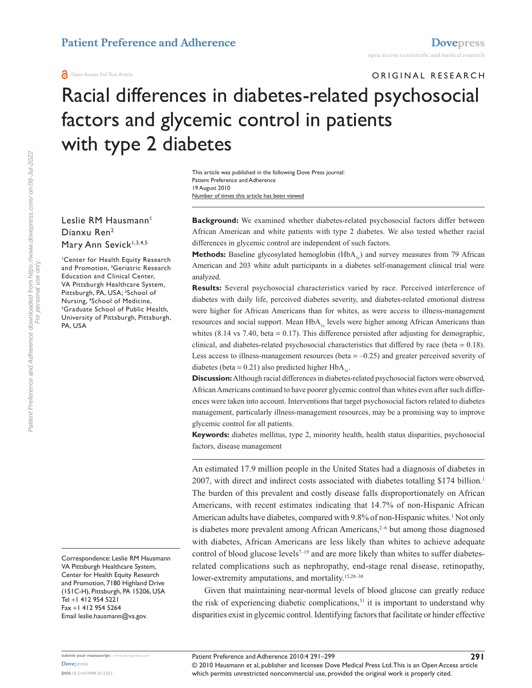ORIGINAL RESEARCH

# Racial differences in diabetes-related psychosocial factors and glycemic control in patients with type 2 diabetes

Number of times this article has been viewed This article was published in the following Dove Press journal: Patient Preference and Adherence 19 August 2010

Leslie RM Hausmann<sup>1</sup> Dianxu Ren2 Mary Ann Sevick<sup>1,3,4,5</sup>

1 Center for Health Equity Research and Promotion, 3 Geriatric Research Education and Clinical Center, VA Pittsburgh Healthcare System, Pittsburgh, PA, USA; <sup>2</sup>School of Nursing, <sup>4</sup>School of Medicine,<br><sup>5</sup>Graduate School of Public He Graduate School of Public Health, University of Pittsburgh, Pittsburgh, PA, USA

Correspondence: Leslie RM Hausmann VA Pittsburgh Healthcare System, Center for Health Equity Research and Promotion, 7180 Highland Drive (151C-H), Pittsburgh, PA 15206, USA Tel +1 412 954 5221 Fax +1 412 954 5264 Email<leslie.hausmann@va.gov.>

**Background:** We examined whether diabetes-related psychosocial factors differ between African American and white patients with type 2 diabetes. We also tested whether racial differences in glycemic control are independent of such factors.

**Methods:** Baseline glycosylated hemoglobin (HbA<sub>1c</sub>) and survey measures from 79 African American and 203 white adult participants in a diabetes self-management clinical trial were analyzed.

**Results:** Several psychosocial characteristics varied by race. Perceived interference of diabetes with daily life, perceived diabetes severity, and diabetes-related emotional distress were higher for African Americans than for whites, as were access to illness-management resources and social support. Mean HbA<sub>1</sub> levels were higher among African Americans than whites  $(8.14 \text{ vs } 7.40, \text{ beta} = 0.17)$ . This difference persisted after adjusting for demographic, clinical, and diabetes-related psychosocial characteristics that differed by race (beta = 0.18). Less access to illness-management resources (beta  $= -0.25$ ) and greater perceived severity of diabetes (beta =  $0.21$ ) also predicted higher HbA<sub>1c</sub>.

**Discussion:** Although racial differences in diabetes-related psychosocial factors were observed, African Americans continued to have poorer glycemic control than whites even after such differences were taken into account. Interventions that target psychosocial factors related to diabetes management, particularly illness-management resources, may be a promising way to improve glycemic control for all patients.

**Keywords:** diabetes mellitus, type 2, minority health, health status disparities, psychosocial factors, disease management

An estimated 17.9 million people in the United States had a diagnosis of diabetes in 2007, with direct and indirect costs associated with diabetes totalling \$174 billion.<sup>1</sup> The burden of this prevalent and costly disease falls disproportionately on African Americans, with recent estimates indicating that 14.7% of non-Hispanic African American adults have diabetes, compared with 9.8% of non-Hispanic whites.<sup>1</sup> Not only is diabetes more prevalent among African Americans, $2-6$  but among those diagnosed with diabetes, African Americans are less likely than whites to achieve adequate control of blood glucose levels $7-19$  and are more likely than whites to suffer diabetesrelated complications such as nephropathy, end-stage renal disease, retinopathy, lower-extremity amputations, and mortality.<sup>15,20-30</sup>

Given that maintaining near-normal levels of blood glucose can greatly reduce the risk of experiencing diabetic complications, $31$  it is important to understand why disparities exist in glycemic control. Identifying factors that facilitate or hinder effective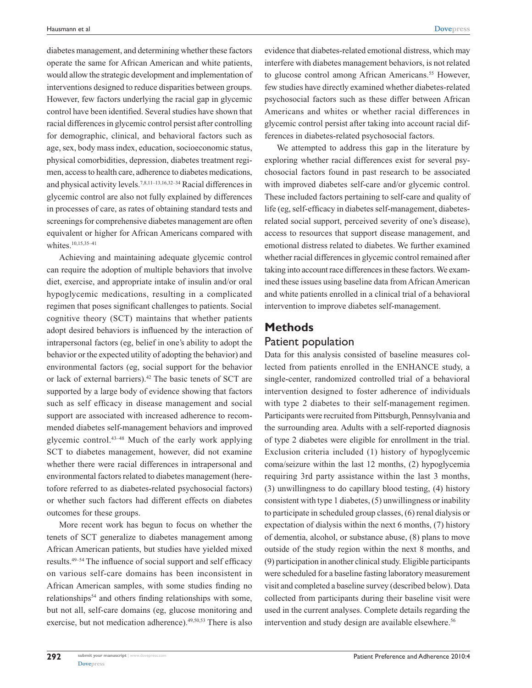diabetes management, and determining whether these factors operate the same for African American and white patients, would allow the strategic development and implementation of interventions designed to reduce disparities between groups. However, few factors underlying the racial gap in glycemic control have been identified. Several studies have shown that racial differences in glycemic control persist after controlling for demographic, clinical, and behavioral factors such as age, sex, body mass index, education, socioeconomic status, physical comorbidities, depression, diabetes treatment regimen, access to health care, adherence to diabetes medications, and physical activity levels.7,8,11–13,16,32–34 Racial differences in glycemic control are also not fully explained by differences in processes of care, as rates of obtaining standard tests and screenings for comprehensive diabetes management are often equivalent or higher for African Americans compared with whites.<sup>10,15,35-41</sup>

Achieving and maintaining adequate glycemic control can require the adoption of multiple behaviors that involve diet, exercise, and appropriate intake of insulin and/or oral hypoglycemic medications, resulting in a complicated regimen that poses significant challenges to patients. Social cognitive theory (SCT) maintains that whether patients adopt desired behaviors is influenced by the interaction of intrapersonal factors (eg, belief in one's ability to adopt the behavior or the expected utility of adopting the behavior) and environmental factors (eg, social support for the behavior or lack of external barriers).42 The basic tenets of SCT are supported by a large body of evidence showing that factors such as self efficacy in disease management and social support are associated with increased adherence to recommended diabetes self-management behaviors and improved glycemic control.43–48 Much of the early work applying SCT to diabetes management, however, did not examine whether there were racial differences in intrapersonal and environmental factors related to diabetes management (heretofore referred to as diabetes-related psychosocial factors) or whether such factors had different effects on diabetes outcomes for these groups.

More recent work has begun to focus on whether the tenets of SCT generalize to diabetes management among African American patients, but studies have yielded mixed results.49–54 The influence of social support and self efficacy on various self-care domains has been inconsistent in African American samples, with some studies finding no relationships<sup>54</sup> and others finding relationships with some, but not all, self-care domains (eg, glucose monitoring and exercise, but not medication adherence).<sup>49,50,53</sup> There is also evidence that diabetes-related emotional distress, which may interfere with diabetes management behaviors, is not related to glucose control among African Americans.<sup>55</sup> However, few studies have directly examined whether diabetes-related psychosocial factors such as these differ between African Americans and whites or whether racial differences in glycemic control persist after taking into account racial differences in diabetes-related psychosocial factors.

We attempted to address this gap in the literature by exploring whether racial differences exist for several psychosocial factors found in past research to be associated with improved diabetes self-care and/or glycemic control. These included factors pertaining to self-care and quality of life (eg, self-efficacy in diabetes self-management, diabetesrelated social support, perceived severity of one's disease), access to resources that support disease management, and emotional distress related to diabetes. We further examined whether racial differences in glycemic control remained after taking into account race differences in these factors. We examined these issues using baseline data from African American and white patients enrolled in a clinical trial of a behavioral intervention to improve diabetes self-management.

### **Methods** Patient population

Data for this analysis consisted of baseline measures collected from patients enrolled in the ENHANCE study, a single-center, randomized controlled trial of a behavioral intervention designed to foster adherence of individuals with type 2 diabetes to their self-management regimen. Participants were recruited from Pittsburgh, Pennsylvania and the surrounding area. Adults with a self-reported diagnosis of type 2 diabetes were eligible for enrollment in the trial. Exclusion criteria included (1) history of hypoglycemic coma/seizure within the last 12 months, (2) hypoglycemia requiring 3rd party assistance within the last 3 months, (3) unwillingness to do capillary blood testing, (4) history consistent with type 1 diabetes, (5) unwillingness or inability to participate in scheduled group classes, (6) renal dialysis or expectation of dialysis within the next 6 months, (7) history of dementia, alcohol, or substance abuse, (8) plans to move outside of the study region within the next 8 months, and (9) participation in another clinical study. Eligible participants were scheduled for a baseline fasting laboratory measurement visit and completed a baseline survey (described below). Data collected from participants during their baseline visit were used in the current analyses. Complete details regarding the intervention and study design are available elsewhere.<sup>56</sup>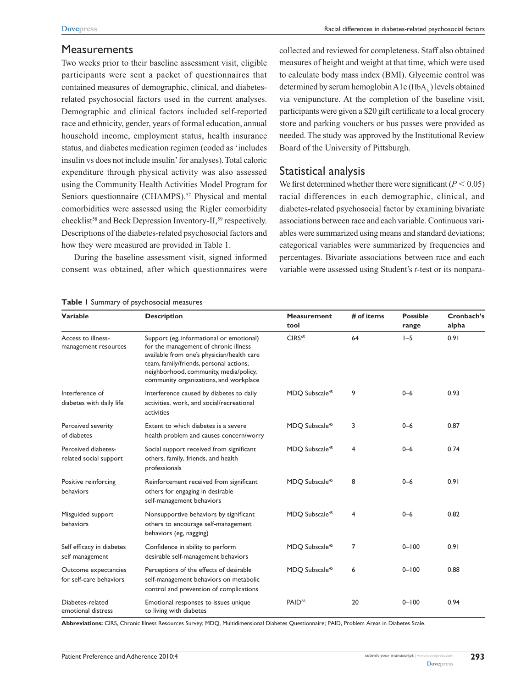#### **Measurements**

Two weeks prior to their baseline assessment visit, eligible participants were sent a packet of questionnaires that contained measures of demographic, clinical, and diabetesrelated psychosocial factors used in the current analyses. Demographic and clinical factors included self-reported race and ethnicity, gender, years of formal education, annual household income, employment status, health insurance status, and diabetes medication regimen (coded as 'includes insulin vs does not include insulin' for analyses). Total caloric expenditure through physical activity was also assessed using the Community Health Activities Model Program for Seniors questionnaire (CHAMPS).<sup>57</sup> Physical and mental comorbidities were assessed using the Rigler comorbidity checklist<sup>58</sup> and Beck Depression Inventory-II,<sup>59</sup> respectively. Descriptions of the diabetes-related psychosocial factors and how they were measured are provided in Table 1.

During the baseline assessment visit, signed informed consent was obtained, after which questionnaires were collected and reviewed for completeness. Staff also obtained measures of height and weight at that time, which were used to calculate body mass index (BMI). Glycemic control was determined by serum hemoglobin  $A1c$  (HbA<sub>1c</sub>) levels obtained via venipuncture. At the completion of the baseline visit, participants were given a \$20 gift certificate to a local grocery store and parking vouchers or bus passes were provided as needed. The study was approved by the Institutional Review Board of the University of Pittsburgh.

#### Statistical analysis

We first determined whether there were significant ( $P < 0.05$ ) racial differences in each demographic, clinical, and diabetes-related psychosocial factor by examining bivariate associations between race and each variable. Continuous variables were summarized using means and standard deviations; categorical variables were summarized by frequencies and percentages. Bivariate associations between race and each variable were assessed using Student's *t*-test or its nonpara-

| <b>Variable</b>                                 | <b>Description</b>                                                                                                                                                                                                                                             | <b>Measurement</b>         | # of items | <b>Possible</b> | Cronbach's |  |
|-------------------------------------------------|----------------------------------------------------------------------------------------------------------------------------------------------------------------------------------------------------------------------------------------------------------------|----------------------------|------------|-----------------|------------|--|
|                                                 |                                                                                                                                                                                                                                                                | tool                       |            | range           | alpha      |  |
| Access to illness-<br>management resources      | Support (eg, informational or emotional)<br>for the management of chronic illness<br>available from one's physician/health care<br>team, family/friends, personal actions,<br>neighborhood, community, media/policy,<br>community organizations, and workplace | CIRS <sup>65</sup>         | 64         | $I - 5$         | 0.91       |  |
| Interference of<br>diabetes with daily life     | Interference caused by diabetes to daily<br>activities, work, and social/recreational<br>activities                                                                                                                                                            | MDQ Subscale <sup>45</sup> | 9          | $0 - 6$         | 0.93       |  |
| Perceived severity<br>of diabetes               | Extent to which diabetes is a severe<br>health problem and causes concern/worry                                                                                                                                                                                | MDQ Subscale <sup>45</sup> | 3          | $0 - 6$         | 0.87       |  |
| Perceived diabetes-<br>related social support   | Social support received from significant<br>others, family, friends, and health<br>professionals                                                                                                                                                               | MDQ Subscale <sup>45</sup> | 4          | $0 - 6$         | 0.74       |  |
| Positive reinforcing<br>behaviors               | Reinforcement received from significant<br>others for engaging in desirable<br>self-management behaviors                                                                                                                                                       | MDQ Subscale <sup>45</sup> | 8          | $0 - 6$         | 0.91       |  |
| Misguided support<br>behaviors                  | Nonsupportive behaviors by significant<br>others to encourage self-management<br>behaviors (eg, nagging)                                                                                                                                                       | MDQ Subscale <sup>45</sup> | 4          | $0 - 6$         | 0.82       |  |
| Self efficacy in diabetes<br>self management    | Confidence in ability to perform<br>desirable self-management behaviors                                                                                                                                                                                        | MDQ Subscale <sup>45</sup> | 7          | $0 - 100$       | 0.91       |  |
| Outcome expectancies<br>for self-care behaviors | Perceptions of the effects of desirable<br>self-management behaviors on metabolic<br>control and prevention of complications                                                                                                                                   | MDQ Subscale <sup>45</sup> | 6          | $0 - 100$       | 0.88       |  |
| Diabetes-related<br>emotional distress          | Emotional responses to issues unique<br>to living with diabetes                                                                                                                                                                                                | PAID <sup>66</sup>         | 20         | $0 - 100$       | 0.94       |  |

#### **Table 1** Summary of psychosocial measures

**Abbreviations:** CIRS, Chronic Illness Resources Survey; MDQ, Multidimensional Diabetes Questionnaire; PAID, Problem Areas in Diabetes Scale.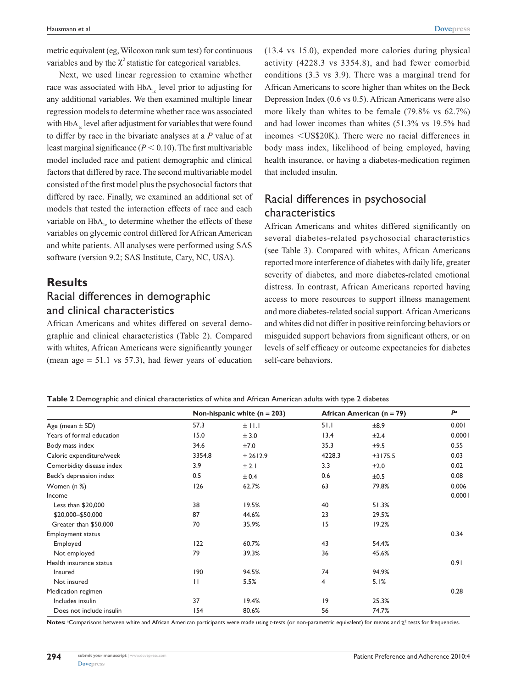metric equivalent (eg, Wilcoxon rank sum test) for continuous variables and by the  $\chi^2$  statistic for categorical variables.

Next, we used linear regression to examine whether race was associated with HbA<sub>1c</sub> level prior to adjusting for any additional variables. We then examined multiple linear regression models to determine whether race was associated with  $HbA<sub>1c</sub>$  level after adjustment for variables that were found to differ by race in the bivariate analyses at a *P* value of at least marginal significance  $(P < 0.10)$ . The first multivariable model included race and patient demographic and clinical factors that differed by race. The second multivariable model consisted of the first model plus the psychosocial factors that differed by race. Finally, we examined an additional set of models that tested the interaction effects of race and each variable on  $HbA_{1c}$  to determine whether the effects of these variables on glycemic control differed for African American and white patients. All analyses were performed using SAS software (version 9.2; SAS Institute, Cary, NC, USA).

## **Results**

### Racial differences in demographic and clinical characteristics

African Americans and whites differed on several demographic and clinical characteristics (Table 2). Compared with whites, African Americans were significantly younger (mean age  $= 51.1$  vs 57.3), had fewer years of education

(13.4 vs 15.0), expended more calories during physical activity (4228.3 vs 3354.8), and had fewer comorbid conditions (3.3 vs 3.9). There was a marginal trend for African Americans to score higher than whites on the Beck Depression Index (0.6 vs 0.5). African Americans were also more likely than whites to be female (79.8% vs 62.7%) and had lower incomes than whites (51.3% vs 19.5% had incomes <US\$20K). There were no racial differences in body mass index, likelihood of being employed, having health insurance, or having a diabetes-medication regimen that included insulin.

## Racial differences in psychosocial characteristics

African Americans and whites differed significantly on several diabetes-related psychosocial characteristics (see Table 3). Compared with whites, African Americans reported more interference of diabetes with daily life, greater severity of diabetes, and more diabetes-related emotional distress. In contrast, African Americans reported having access to more resources to support illness management and more diabetes-related social support. African Americans and whites did not differ in positive reinforcing behaviors or misguided support behaviors from significant others, or on levels of self efficacy or outcome expectancies for diabetes self-care behaviors.

|  | Table 2 Demographic and clinical characteristics of white and African American adults with type 2 diabetes |  |
|--|------------------------------------------------------------------------------------------------------------|--|
|--|------------------------------------------------------------------------------------------------------------|--|

|                           |              | Non-hispanic white $(n = 203)$ | African American (n = 79) |         | Pa     |
|---------------------------|--------------|--------------------------------|---------------------------|---------|--------|
| Age (mean $\pm$ SD)       | 57.3         | $±$ 11.1                       | 51.1                      | ±8.9    | 0.001  |
| Years of formal education | 15.0         | ± 3.0                          | 13.4                      | ±2.4    | 0.0001 |
| Body mass index           | 34.6         | ±7.0                           | 35.3                      | ±9.5    | 0.55   |
| Caloric expenditure/week  | 3354.8       | ± 2612.9                       | 4228.3                    | ±3175.5 | 0.03   |
| Comorbidity disease index | 3.9          | $±$ 2.1                        | 3.3                       | ±2.0    | 0.02   |
| Beck's depression index   | 0.5          | ± 0.4                          | 0.6                       | ±0.5    | 0.08   |
| Women (n %)               | 126          | 62.7%                          | 63                        | 79.8%   | 0.006  |
| Income                    |              |                                |                           |         | 0.0001 |
| Less than $$20,000$       | 38           | 19.5%                          | 40                        | 51.3%   |        |
| \$20,000-\$50,000         | 87           | 44.6%                          | 23                        | 29.5%   |        |
| Greater than \$50,000     | 70           | 35.9%                          | 15                        | 19.2%   |        |
| <b>Employment status</b>  |              |                                |                           |         | 0.34   |
| Employed                  | 122          | 60.7%                          | 43                        | 54.4%   |        |
| Not employed              | 79           | 39.3%                          | 36                        | 45.6%   |        |
| Health insurance status   |              |                                |                           |         | 0.91   |
| Insured                   | 190          | 94.5%                          | 74                        | 94.9%   |        |
| Not insured               | $\mathbf{H}$ | 5.5%                           | 4                         | 5.1%    |        |
| Medication regimen        |              |                                |                           |         | 0.28   |
| Includes insulin          | 37           | 19.4%                          | 9                         | 25.3%   |        |
| Does not include insulin  | 154          | 80.6%                          | 56                        | 74.7%   |        |

Notes: <sup>a</sup>Comparisons between white and African American participants were made using *t*-tests (or non-parametric equivalent) for means and χ<sup>2</sup> tests for frequencies.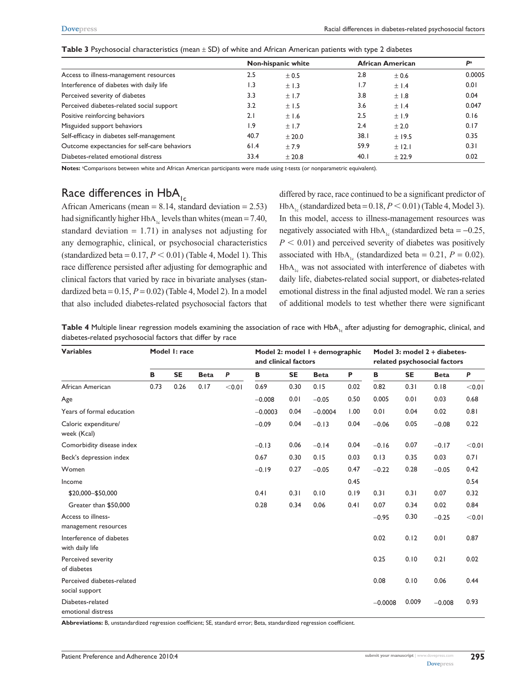|                                              |      | Non-hispanic white | <b>African American</b> | Р <sup>а</sup> |        |
|----------------------------------------------|------|--------------------|-------------------------|----------------|--------|
| Access to illness-management resources       | 2.5  | ± 0.5              | 2.8                     | ± 0.6          | 0.0005 |
| Interference of diabetes with daily life     | l.3  | $\pm$ 1.3          | 1.7                     | ±1.4           | 0.01   |
| Perceived severity of diabetes               | 3.3  | ±1.7               | 3.8                     | ±1.8           | 0.04   |
| Perceived diabetes-related social support    | 3.2  | ±1.5               | 3.6                     | ±1.4           | 0.047  |
| Positive reinforcing behaviors               | 2.1  | ±1.6               | 2.5                     | ±1.9           | 0.16   |
| Misguided support behaviors                  | ۱.9  | ±1.7               | 2.4                     | ± 2.0          | 0.17   |
| Self-efficacy in diabetes self-management    | 40.7 | ± 20.0             | 38.1                    | ± 19.5         | 0.35   |
| Outcome expectancies for self-care behaviors | 61.4 | ±7.9               | 59.9                    | ± 12.1         | 0.31   |
| Diabetes-related emotional distress          | 33.4 | ± 20.8             | 40.1                    | ± 22.9         | 0.02   |

**Table 3** Psychosocial characteristics (mean ± SD) of white and African American patients with type 2 diabetes

**Notes:** <sup>a</sup> Comparisons between white and African American participants were made using *t*-tests (or nonparametric equivalent).

# Race differences in  $HbA_{1c}$

African Americans (mean  $= 8.14$ , standard deviation  $= 2.53$ ) had significantly higher HbA<sub>1c</sub> levels than whites (mean = 7.40, standard deviation  $= 1.71$ ) in analyses not adjusting for any demographic, clinical, or psychosocial characteristics (standardized beta =  $0.17, P \le 0.01$ ) (Table 4, Model 1). This race difference persisted after adjusting for demographic and clinical factors that varied by race in bivariate analyses (standardized beta =  $0.15$ ,  $P = 0.02$ ) (Table 4, Model 2). In a model that also included diabetes-related psychosocial factors that differed by race, race continued to be a significant predictor of HbA<sub>1c</sub> (standardized beta =  $0.18, P \le 0.01$ ) (Table 4, Model 3). In this model, access to illness-management resources was negatively associated with HbA<sub>1c</sub> (standardized beta =  $-0.25$ ,  $P < 0.01$ ) and perceived severity of diabetes was positively associated with HbA<sub>1c</sub> (standardized beta = 0.21,  $P = 0.02$ ).  $HbA<sub>1c</sub>$  was not associated with interference of diabetes with daily life, diabetes-related social support, or diabetes-related emotional distress in the final adjusted model. We ran a series of additional models to test whether there were significant

Table 4 Multiple linear regression models examining the association of race with HbA<sub>1c</sub> after adjusting for demographic, clinical, and diabetes-related psychosocial factors that differ by race

| <b>Variables</b>                             | Model I: race |           |             | Model 2: model 1 + demographic<br>and clinical factors |           |           | Model 3: model 2 + diabetes-<br>related psychosocial factors |      |           |           |             |        |
|----------------------------------------------|---------------|-----------|-------------|--------------------------------------------------------|-----------|-----------|--------------------------------------------------------------|------|-----------|-----------|-------------|--------|
|                                              | В             | <b>SE</b> | <b>Beta</b> | $\mathsf{P}$                                           | В         | <b>SE</b> | <b>Beta</b>                                                  | P    | В         | <b>SE</b> | <b>Beta</b> | P      |
| African American                             | 0.73          | 0.26      | 0.17        | < 0.01                                                 | 0.69      | 0.30      | 0.15                                                         | 0.02 | 0.82      | 0.31      | 0.18        | < 0.01 |
| Age                                          |               |           |             |                                                        | $-0.008$  | 0.01      | $-0.05$                                                      | 0.50 | 0.005     | 0.01      | 0.03        | 0.68   |
| Years of formal education                    |               |           |             |                                                        | $-0.0003$ | 0.04      | $-0.0004$                                                    | 1.00 | 0.01      | 0.04      | 0.02        | 0.81   |
| Caloric expenditure/<br>week (Kcal)          |               |           |             |                                                        | $-0.09$   | 0.04      | $-0.13$                                                      | 0.04 | $-0.06$   | 0.05      | $-0.08$     | 0.22   |
| Comorbidity disease index                    |               |           |             |                                                        | $-0.13$   | 0.06      | $-0.14$                                                      | 0.04 | $-0.16$   | 0.07      | $-0.17$     | < 0.01 |
| Beck's depression index                      |               |           |             |                                                        | 0.67      | 0.30      | 0.15                                                         | 0.03 | 0.13      | 0.35      | 0.03        | 0.71   |
| Women                                        |               |           |             |                                                        | $-0.19$   | 0.27      | $-0.05$                                                      | 0.47 | $-0.22$   | 0.28      | $-0.05$     | 0.42   |
| Income                                       |               |           |             |                                                        |           |           |                                                              | 0.45 |           |           |             | 0.54   |
| \$20,000-\$50,000                            |               |           |             |                                                        | 0.41      | 0.31      | 0.10                                                         | 0.19 | 0.31      | 0.31      | 0.07        | 0.32   |
| Greater than \$50,000                        |               |           |             |                                                        | 0.28      | 0.34      | 0.06                                                         | 0.41 | 0.07      | 0.34      | 0.02        | 0.84   |
| Access to illness-<br>management resources   |               |           |             |                                                        |           |           |                                                              |      | $-0.95$   | 0.30      | $-0.25$     | < 0.01 |
| Interference of diabetes<br>with daily life  |               |           |             |                                                        |           |           |                                                              |      | 0.02      | 0.12      | 0.01        | 0.87   |
| Perceived severity<br>of diabetes            |               |           |             |                                                        |           |           |                                                              |      | 0.25      | 0.10      | 0.21        | 0.02   |
| Perceived diabetes-related<br>social support |               |           |             |                                                        |           |           |                                                              |      | 0.08      | 0.10      | 0.06        | 0.44   |
| Diabetes-related<br>emotional distress       |               |           |             |                                                        |           |           |                                                              |      | $-0.0008$ | 0.009     | $-0.008$    | 0.93   |

**Abbreviations:** B, unstandardized regression coefficient; SE, standard error; Beta, standardized regression coefficient.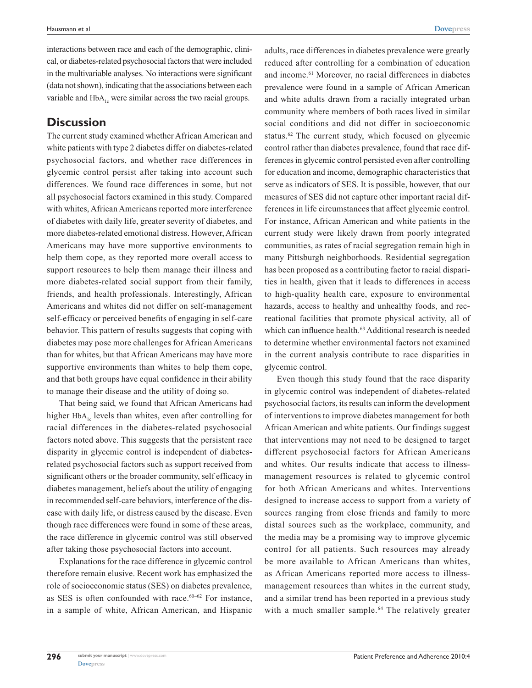interactions between race and each of the demographic, clinical, or diabetes-related psychosocial factors that were included in the multivariable analyses. No interactions were significant (data not shown), indicating that the associations between each variable and  $HbA<sub>1c</sub>$  were similar across the two racial groups.

### **Discussion**

The current study examined whether African American and white patients with type 2 diabetes differ on diabetes-related psychosocial factors, and whether race differences in glycemic control persist after taking into account such differences. We found race differences in some, but not all psychosocial factors examined in this study. Compared with whites, African Americans reported more interference of diabetes with daily life, greater severity of diabetes, and more diabetes-related emotional distress. However, African Americans may have more supportive environments to help them cope, as they reported more overall access to support resources to help them manage their illness and more diabetes-related social support from their family, friends, and health professionals. Interestingly, African Americans and whites did not differ on self-management self-efficacy or perceived benefits of engaging in self-care behavior. This pattern of results suggests that coping with diabetes may pose more challenges for African Americans than for whites, but that African Americans may have more supportive environments than whites to help them cope, and that both groups have equal confidence in their ability to manage their disease and the utility of doing so.

That being said, we found that African Americans had higher  $HbA_{1c}$  levels than whites, even after controlling for racial differences in the diabetes-related psychosocial factors noted above. This suggests that the persistent race disparity in glycemic control is independent of diabetesrelated psychosocial factors such as support received from significant others or the broader community, self efficacy in diabetes management, beliefs about the utility of engaging in recommended self-care behaviors, interference of the disease with daily life, or distress caused by the disease. Even though race differences were found in some of these areas, the race difference in glycemic control was still observed after taking those psychosocial factors into account.

Explanations for the race difference in glycemic control therefore remain elusive. Recent work has emphasized the role of socioeconomic status (SES) on diabetes prevalence, as SES is often confounded with race.<sup>60-62</sup> For instance, in a sample of white, African American, and Hispanic

adults, race differences in diabetes prevalence were greatly reduced after controlling for a combination of education and income.61 Moreover, no racial differences in diabetes prevalence were found in a sample of African American and white adults drawn from a racially integrated urban community where members of both races lived in similar social conditions and did not differ in socioeconomic status.<sup>62</sup> The current study, which focused on glycemic control rather than diabetes prevalence, found that race differences in glycemic control persisted even after controlling for education and income, demographic characteristics that serve as indicators of SES. It is possible, however, that our measures of SES did not capture other important racial differences in life circumstances that affect glycemic control. For instance, African American and white patients in the current study were likely drawn from poorly integrated communities, as rates of racial segregation remain high in many Pittsburgh neighborhoods. Residential segregation has been proposed as a contributing factor to racial disparities in health, given that it leads to differences in access to high-quality health care, exposure to environmental hazards, access to healthy and unhealthy foods, and recreational facilities that promote physical activity, all of which can influence health.<sup>63</sup> Additional research is needed to determine whether environmental factors not examined in the current analysis contribute to race disparities in glycemic control.

Even though this study found that the race disparity in glycemic control was independent of diabetes-related psychosocial factors, its results can inform the development of interventions to improve diabetes management for both African American and white patients. Our findings suggest that interventions may not need to be designed to target different psychosocial factors for African Americans and whites. Our results indicate that access to illnessmanagement resources is related to glycemic control for both African Americans and whites. Interventions designed to increase access to support from a variety of sources ranging from close friends and family to more distal sources such as the workplace, community, and the media may be a promising way to improve glycemic control for all patients. Such resources may already be more available to African Americans than whites, as African Americans reported more access to illnessmanagement resources than whites in the current study, and a similar trend has been reported in a previous study with a much smaller sample.<sup>64</sup> The relatively greater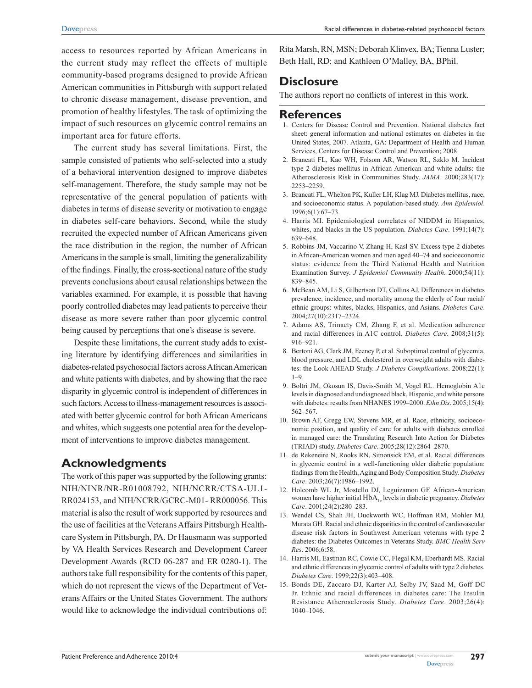important area for future efforts.

The current study has several limitations. First, the sample consisted of patients who self-selected into a study of a behavioral intervention designed to improve diabetes self-management. Therefore, the study sample may not be representative of the general population of patients with diabetes in terms of disease severity or motivation to engage in diabetes self-care behaviors. Second, while the study recruited the expected number of African Americans given the race distribution in the region, the number of African Americans in the sample is small, limiting the generalizability of the findings. Finally, the cross-sectional nature of the study prevents conclusions about causal relationships between the variables examined. For example, it is possible that having poorly controlled diabetes may lead patients to perceive their disease as more severe rather than poor glycemic control being caused by perceptions that one's disease is severe.

Despite these limitations, the current study adds to existing literature by identifying differences and similarities in diabetes-related psychosocial factors across African American and white patients with diabetes, and by showing that the race disparity in glycemic control is independent of differences in such factors. Access to illness-management resources is associated with better glycemic control for both African Americans and whites, which suggests one potential area for the development of interventions to improve diabetes management.

# **Acknowledgments**

The work of this paper was supported by the following grants: NIH/NINR/NR-R01008792, NIH/NCRR/CTSA-UL1- RR024153, and NIH/NCRR/GCRC-M01- RR000056. This material is also the result of work supported by resources and the use of facilities at the Veterans Affairs Pittsburgh Healthcare System in Pittsburgh, PA. Dr Hausmann was supported by VA Health Services Research and Development Career Development Awards (RCD 06-287 and ER 0280-1). The authors take full responsibility for the contents of this paper, which do not represent the views of the Department of Veterans Affairs or the United States Government. The authors would like to acknowledge the individual contributions of:

Rita Marsh, RN, MSN; Deborah Klinvex, BA; Tienna Luster; Beth Hall, RD; and Kathleen O'Malley, BA, BPhil.

# **Disclosure**

The authors report no conflicts of interest in this work.

#### **References**

- 1. Centers for Disease Control and Prevention. National diabetes fact sheet: general information and national estimates on diabetes in the United States, 2007. Atlanta, GA: Department of Health and Human Services, Centers for Disease Control and Prevention; 2008.
- 2. Brancati FL, Kao WH, Folsom AR, Watson RL, Szklo M. Incident type 2 diabetes mellitus in African American and white adults: the Atherosclerosis Risk in Communities Study. *JAMA*. 2000;283(17): 2253–2259.
- 3. Brancati FL, Whelton PK, Kuller LH, Klag MJ. Diabetes mellitus, race, and socioeconomic status. A population-based study. *Ann Epidemiol*. 1996;6(1):67–73.
- 4. Harris MI. Epidemiological correlates of NIDDM in Hispanics, whites, and blacks in the US population. *Diabetes Care*. 1991;14(7): 639–648.
- 5. Robbins JM, Vaccarino V, Zhang H, Kasl SV. Excess type 2 diabetes in African-American women and men aged 40–74 and socioeconomic status: evidence from the Third National Health and Nutrition Examination Survey. *J Epidemiol Community Health*. 2000;54(11): 839–845.
- 6. McBean AM, Li S, Gilbertson DT, Collins AJ. Differences in diabetes prevalence, incidence, and mortality among the elderly of four racial/ ethnic groups: whites, blacks, Hispanics, and Asians. *Diabetes Care*. 2004;27(10):2317–2324.
- 7. Adams AS, Trinacty CM, Zhang F, et al. Medication adherence and racial differences in A1C control. *Diabetes Care*. 2008;31(5): 916–921.
- 8. Bertoni AG, Clark JM, Feeney P, et al. Suboptimal control of glycemia, blood pressure, and LDL cholesterol in overweight adults with diabetes: the Look AHEAD Study. *J Diabetes Complications*. 2008;22(1):  $1 - 9$
- 9. Boltri JM, Okosun IS, Davis-Smith M, Vogel RL. Hemoglobin A1c levels in diagnosed and undiagnosed black, Hispanic, and white persons with diabetes: results from NHANES 1999–2000. *Ethn Dis*. 2005;15(4): 562–567.
- 10. Brown AF, Gregg EW, Stevens MR, et al. Race, ethnicity, socioeconomic position, and quality of care for adults with diabetes enrolled in managed care: the Translating Research Into Action for Diabetes (TRIAD) study. *Diabetes Care*. 2005;28(12):2864–2870.
- 11. de Rekeneire N, Rooks RN, Simonsick EM, et al. Racial differences in glycemic control in a well-functioning older diabetic population: findings from the Health, Aging and Body Composition Study. *Diabetes Care*. 2003;26(7):1986–1992.
- 12. Holcomb WL Jr, Mostello DJ, Leguizamon GF. African-American women have higher initial HbA<sub>1c</sub> levels in diabetic pregnancy. *Diabetes Care*. 2001;24(2):280–283.
- 13. Wendel CS, Shah JH, Duckworth WC, Hoffman RM, Mohler MJ, Murata GH. Racial and ethnic disparities in the control of cardiovascular disease risk factors in Southwest American veterans with type 2 diabetes: the Diabetes Outcomes in Veterans Study. *BMC Health Serv Res*. 2006;6:58.
- 14. Harris MI, Eastman RC, Cowie CC, Flegal KM, Eberhardt MS. Racial and ethnic differences in glycemic control of adults with type 2 diabetes. *Diabetes Care*. 1999;22(3):403–408.
- 15. Bonds DE, Zaccaro DJ, Karter AJ, Selby JV, Saad M, Goff DC Jr. Ethnic and racial differences in diabetes care: The Insulin Resistance Atherosclerosis Study. *Diabetes Care*. 2003;26(4): 1040–1046.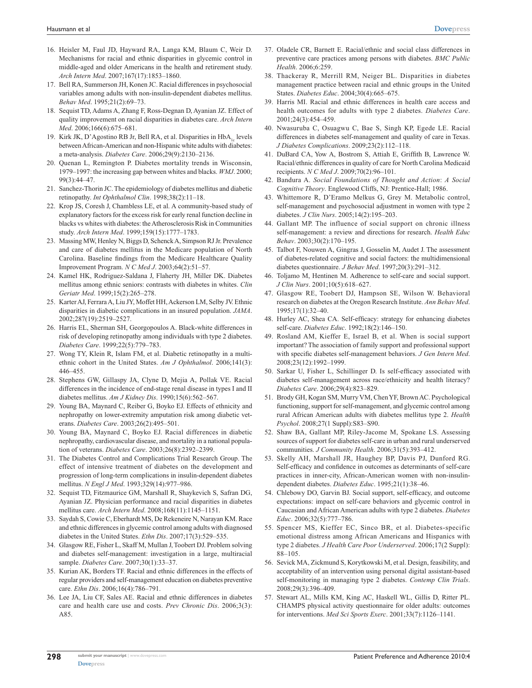- 16. Heisler M, Faul JD, Hayward RA, Langa KM, Blaum C, Weir D. Mechanisms for racial and ethnic disparities in glycemic control in middle-aged and older Americans in the health and retirement study. *Arch Intern Med*. 2007;167(17):1853–1860.
- 17. Bell RA, Summerson JH, Konen JC. Racial differences in psychosocial variables among adults with non-insulin-dependent diabetes mellitus. *Behav Med*. 1995;21(2):69–73.
- 18. Sequist TD, Adams A, Zhang F, Ross-Degnan D, Ayanian JZ. Effect of quality improvement on racial disparities in diabetes care. *Arch Intern Med*. 2006;166(6):675–681.
- 19. Kirk JK, D'Agostino RB Jr, Bell RA, et al. Disparities in HbA<sub>1a</sub> levels between African-American and non-Hispanic white adults with diabetes: a meta-analysis. *Diabetes Care*. 2006;29(9):2130–2136.
- 20. Quenan L, Remington P. Diabetes mortality trends in Wisconsin, 1979–1997: the increasing gap between whites and blacks. *WMJ*. 2000; 99(3):44–47.
- 21. Sanchez-Thorin JC. The epidemiology of diabetes mellitus and diabetic retinopathy. *Int Ophthalmol Clin*. 1998;38(2):11–18.
- 22. Krop JS, Coresh J, Chambless LE, et al. A community-based study of explanatory factors for the excess risk for early renal function decline in blacks vs whites with diabetes: the Atherosclerosis Risk in Communities study. *Arch Intern Med*. 1999;159(15):1777–1783.
- 23. Massing MW, Henley N, Biggs D, Schenck A, Simpson RJ Jr. Prevalence and care of diabetes mellitus in the Medicare population of North Carolina. Baseline findings from the Medicare Healthcare Quality Improvement Program. *N C Med J*. 2003;64(2):51–57.
- 24. Kamel HK, Rodriguez-Saldana J, Flaherty JH, Miller DK. Diabetes mellitus among ethnic seniors: contrasts with diabetes in whites. *Clin Geriatr Med*. 1999;15(2):265–278.
- 25. Karter AJ, Ferrara A, Liu JY, Moffet HH, Ackerson LM, Selby JV. Ethnic disparities in diabetic complications in an insured population. *JAMA*. 2002;287(19):2519–2527.
- 26. Harris EL, Sherman SH, Georgopoulos A. Black-white differences in risk of developing retinopathy among individuals with type 2 diabetes. *Diabetes Care*. 1999;22(5):779–783.
- 27. Wong TY, Klein R, Islam FM, et al. Diabetic retinopathy in a multiethnic cohort in the United States. *Am J Ophthalmol*. 2006;141(3): 446–455.
- 28. Stephens GW, Gillaspy JA, Clyne D, Mejia A, Pollak VE. Racial differences in the incidence of end-stage renal disease in types I and II diabetes mellitus. *Am J Kidney Dis*. 1990;15(6):562–567.
- 29. Young BA, Maynard C, Reiber G, Boyko EJ. Effects of ethnicity and nephropathy on lower-extremity amputation risk among diabetic veterans. *Diabetes Care*. 2003;26(2):495–501.
- 30. Young BA, Maynard C, Boyko EJ. Racial differences in diabetic nephropathy, cardiovascular disease, and mortality in a national population of veterans. *Diabetes Care*. 2003;26(8):2392–2399.
- 31. The Diabetes Control and Complications Trial Research Group. The effect of intensive treatment of diabetes on the development and progression of long-term complications in insulin-dependent diabetes mellitus. *N Engl J Med*. 1993;329(14):977–986.
- 32. Sequist TD, Fitzmaurice GM, Marshall R, Shaykevich S, Safran DG, Ayanian JZ. Physician performance and racial disparities in diabetes mellitus care. *Arch Intern Med*. 2008;168(11):1145–1151.
- 33. Saydah S, Cowie C, Eberhardt MS, De Rekeneire N, Narayan KM. Race and ethnic differences in glycemic control among adults with diagnosed diabetes in the United States. *Ethn Dis*. 2007;17(3):529–535.
- 34. Glasgow RE, Fisher L, Skaff M, Mullan J, Toobert DJ. Problem solving and diabetes self-management: investigation in a large, multiracial sample. *Diabetes Care*. 2007;30(1):33–37.
- 35. Kurian AK, Borders TF. Racial and ethnic differences in the effects of regular providers and self-management education on diabetes preventive care. *Ethn Dis*. 2006;16(4):786–791.
- 36. Lee JA, Liu CF, Sales AE. Racial and ethnic differences in diabetes care and health care use and costs. *Prev Chronic Dis*. 2006;3(3): A85.
- 37. Oladele CR, Barnett E. Racial/ethnic and social class differences in preventive care practices among persons with diabetes. *BMC Public Health*. 2006;6:259.
- 38. Thackeray R, Merrill RM, Neiger BL. Disparities in diabetes management practice between racial and ethnic groups in the United States. *Diabetes Educ*. 2004;30(4):665–675.
- 39. Harris MI. Racial and ethnic differences in health care access and health outcomes for adults with type 2 diabetes. *Diabetes Care*. 2001;24(3):454–459.
- 40. Nwasuruba C, Osuagwu C, Bae S, Singh KP, Egede LE. Racial differences in diabetes self-management and quality of care in Texas. *J Diabetes Complications*. 2009;23(2):112–118.
- 41. DuBard CA, Yow A, Bostrom S, Attiah E, Griffith B, Lawrence W. Racial/ethnic differences in quality of care for North Carolina Medicaid recipients. *N C Med J*. 2009;70(2):96–101.
- 42. Bandura A. *Social Foundations of Thought and Action*: *A Social Cognitive Theory*. Englewood Cliffs, NJ: Prentice-Hall; 1986.
- 43. Whittemore R, D'Eramo Melkus G, Grey M. Metabolic control, self-management and psychosocial adjustment in women with type 2 diabetes. *J Clin Nurs*. 2005;14(2):195–203.
- 44. Gallant MP. The influence of social support on chronic illness self-management: a review and directions for research. *Health Educ Behav*. 2003;30(2):170–195.
- 45. Talbot F, Nouwen A, Gingras J, Gosselin M, Audet J. The assessment of diabetes-related cognitive and social factors: the multidimensional diabetes questionnaire. *J Behav Med*. 1997;20(3):291–312.
- 46. Toljamo M, Hentinen M. Adherence to self-care and social support. *J Clin Nurs*. 2001;10(5):618–627.
- 47. Glasgow RE, Toobert DJ, Hampson SE, Wilson W. Behavioral research on diabetes at the Oregon Research Institute. *Ann Behav Med*. 1995;17(1):32–40.
- 48. Hurley AC, Shea CA. Self-efficacy: strategy for enhancing diabetes self-care. *Diabetes Educ*. 1992;18(2):146–150.
- 49. Rosland AM, Kieffer E, Israel B, et al. When is social support important? The association of family support and professional support with specific diabetes self-management behaviors. *J Gen Intern Med*. 2008;23(12):1992–1999.
- 50. Sarkar U, Fisher L, Schillinger D. Is self-efficacy associated with diabetes self-management across race/ethnicity and health literacy? *Diabetes Care*. 2006;29(4):823–829.
- 51. Brody GH, Kogan SM, Murry VM, Chen YF, Brown AC. Psychological functioning, support for self-management, and glycemic control among rural African American adults with diabetes mellitus type 2. *Health Psychol*. 2008;27(1 Suppl):S83–S90.
- 52. Shaw BA, Gallant MP, Riley-Jacome M, Spokane LS. Assessing sources of support for diabetes self-care in urban and rural underserved communities. *J Community Health*. 2006;31(5):393–412.
- 53. Skelly AH, Marshall JR, Haughey BP, Davis PJ, Dunford RG. Self-efficacy and confidence in outcomes as determinants of self-care practices in inner-city, African-American women with non-insulindependent diabetes. *Diabetes Educ*. 1995;21(1):38–46.
- 54. Chlebowy DO, Garvin BJ. Social support, self-efficacy, and outcome expectations: impact on self-care behaviors and glycemic control in Caucasian and African American adults with type 2 diabetes. *Diabetes Educ*. 2006;32(5):777–786.
- 55. Spencer MS, Kieffer EC, Sinco BR, et al. Diabetes-specific emotional distress among African Americans and Hispanics with type 2 diabetes. *J Health Care Poor Underserved*. 2006;17(2 Suppl): 88–105.
- 56. Sevick MA, Zickmund S, Korytkowski M, et al. Design, feasibility, and acceptability of an intervention using personal digital assistant-based self-monitoring in managing type 2 diabetes. *Contemp Clin Trials*. 2008;29(3):396–409.
- 57. Stewart AL, Mills KM, King AC, Haskell WL, Gillis D, Ritter PL. CHAMPS physical activity questionnaire for older adults: outcomes for interventions. *Med Sci Sports Exerc*. 2001;33(7):1126–1141.